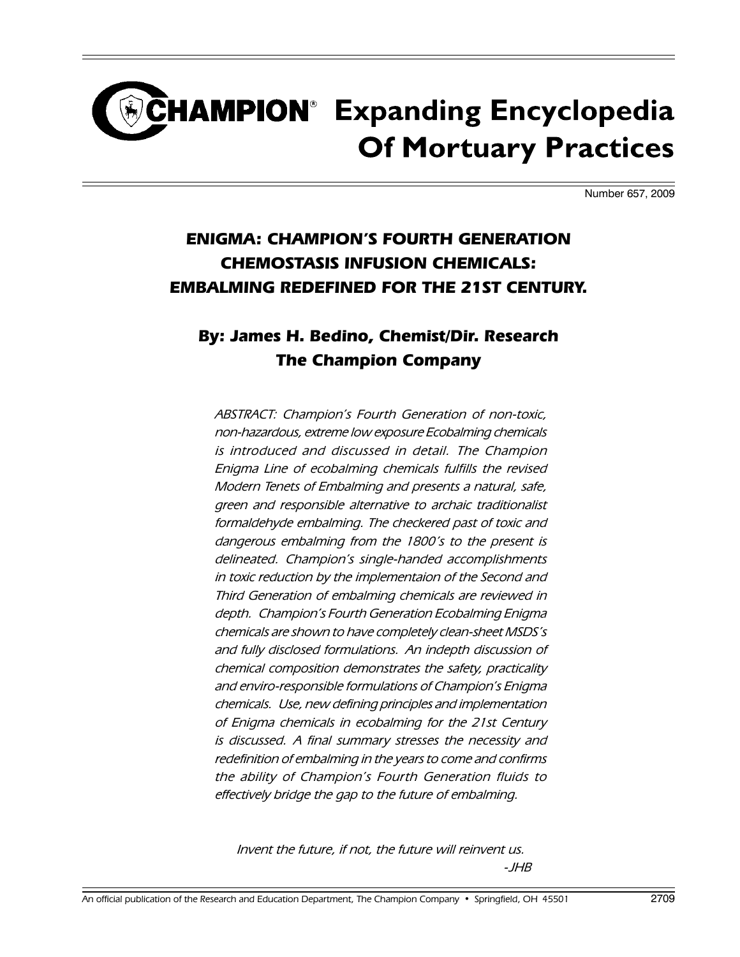# CHAMPION<sup>®</sup> Expanding Encyclopedia **Of Mortuary Practices**

Number 657, 2009

### **ENIGMA: CHAMPION'S FOURTH GENERATION CHEMOSTASIS INFUSION CHEMICALS: EMBALMING REDEFINED FOR THE 21ST CENTURY.**

#### **By: James H. Bedino, Chemist/Dir. Research The Champion Company**

ABSTRACT: Champion's Fourth Generation of non-toxic, non-hazardous, extreme low exposure Ecobalming chemicals is introduced and discussed in detail. The Champion Enigma Line of ecobalming chemicals fulfills the revised Modern Tenets of Embalming and presents a natural, safe, green and responsible alternative to archaic traditionalist formaldehyde embalming. The checkered past of toxic and dangerous embalming from the 1800's to the present is delineated. Champion's single-handed accomplishments in toxic reduction by the implementaion of the Second and Third Generation of embalming chemicals are reviewed in depth. Champion's Fourth Generation Ecobalming Enigma chemicals are shown to have completely clean-sheet MSDS's and fully disclosed formulations. An indepth discussion of chemical composition demonstrates the safety, practicality and enviro-responsible formulations of Champion's Enigma chemicals. Use, new defining principles and implementation of Enigma chemicals in ecobalming for the 21st Century is discussed. A final summary stresses the necessity and redefinition of embalming in the years to come and confirms the ability of Champion's Fourth Generation fluids to effectively bridge the gap to the future of embalming.

Invent the future, if not, the future will reinvent us. -JHB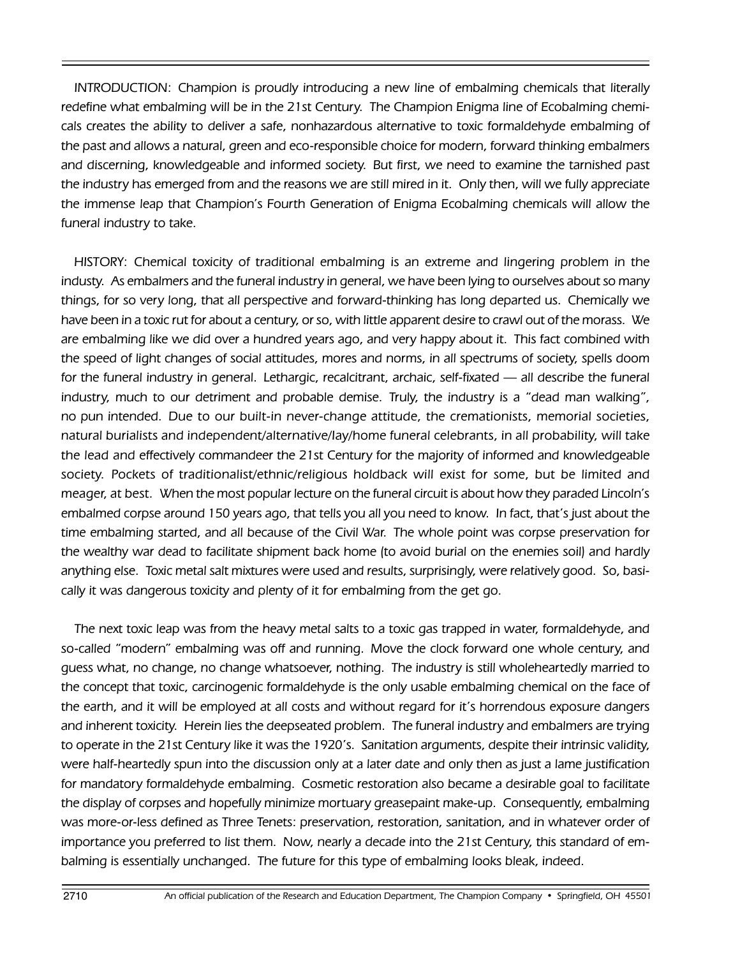INTRODUCTION: Champion is proudly introducing a new line of embalming chemicals that literally redefine what embalming will be in the 21st Century. The Champion Enigma line of Ecobalming chemicals creates the ability to deliver a safe, nonhazardous alternative to toxic formaldehyde embalming of the past and allows a natural, green and eco-responsible choice for modern, forward thinking embalmers and discerning, knowledgeable and informed society. But first, we need to examine the tarnished past the industry has emerged from and the reasons we are still mired in it. Only then, will we fully appreciate the immense leap that Champion's Fourth Generation of Enigma Ecobalming chemicals will allow the funeral industry to take.

HISTORY: Chemical toxicity of traditional embalming is an extreme and lingering problem in the industy. As embalmers and the funeral industry in general, we have been lying to ourselves about so many things, for so very long, that all perspective and forward-thinking has long departed us. Chemically we have been in a toxic rut for about a century, or so, with little apparent desire to crawl out of the morass. We are embalming like we did over a hundred years ago, and very happy about it. This fact combined with the speed of light changes of social attitudes, mores and norms, in all spectrums of society, spells doom for the funeral industry in general. Lethargic, recalcitrant, archaic, self-fixated — all describe the funeral industry, much to our detriment and probable demise. Truly, the industry is a "dead man walking", no pun intended. Due to our built-in never-change attitude, the cremationists, memorial societies, natural burialists and independent/alternative/Iay/home funeral celebrants, in all probability, will take the lead and effectively commandeer the 21st Century for the majority of informed and knowledgeable society. Pockets of traditionalist/ethnic/religious holdback will exist for some, but be limited and meager, at best. When the most popular lecture on the funeral circuit is about how they paraded Lincoln's embalmed corpse around 150 years ago, that tells you all you need to know. In fact, that's just about the time embalming started, and all because of the Civil War. The whole point was corpse preservation for the wealthy war dead to facilitate shipment back home (to avoid burial on the enemies soil) and hardly anything else. Toxic metal salt mixtures were used and results, surprisingly, were relatively good. So, basically it was dangerous toxicity and plenty of it for embalming from the get go.

The next toxic leap was from the heavy metal salts to a toxic gas trapped in water, formaldehyde, and so-called "modern" embalming was off and running. Move the clock forward one whole century, and guess what, no change, no change whatsoever, nothing. The industry is still wholeheartedly married to the concept that toxic, carcinogenic formaldehyde is the only usable embalming chemical on the face of the earth, and it will be employed at all costs and without regard for it's horrendous exposure dangers and inherent toxicity. Herein lies the deepseated problem. The funeral industry and embalmers are trying to operate in the 21st Century like it was the 1920's. Sanitation arguments, despite their intrinsic validity, were half-heartedly spun into the discussion only at a later date and only then as just a lame justification for mandatory formaldehyde embalming. Cosmetic restoration also became a desirable goal to facilitate the display of corpses and hopefully minimize mortuary greasepaint make-up. Consequently, embalming was more-or-less defined as Three Tenets: preservation, restoration, sanitation, and in whatever order of importance you preferred to list them. Now, nearly a decade into the 21st Century, this standard of embalming is essentially unchanged. The future for this type of embalming looks bleak, indeed.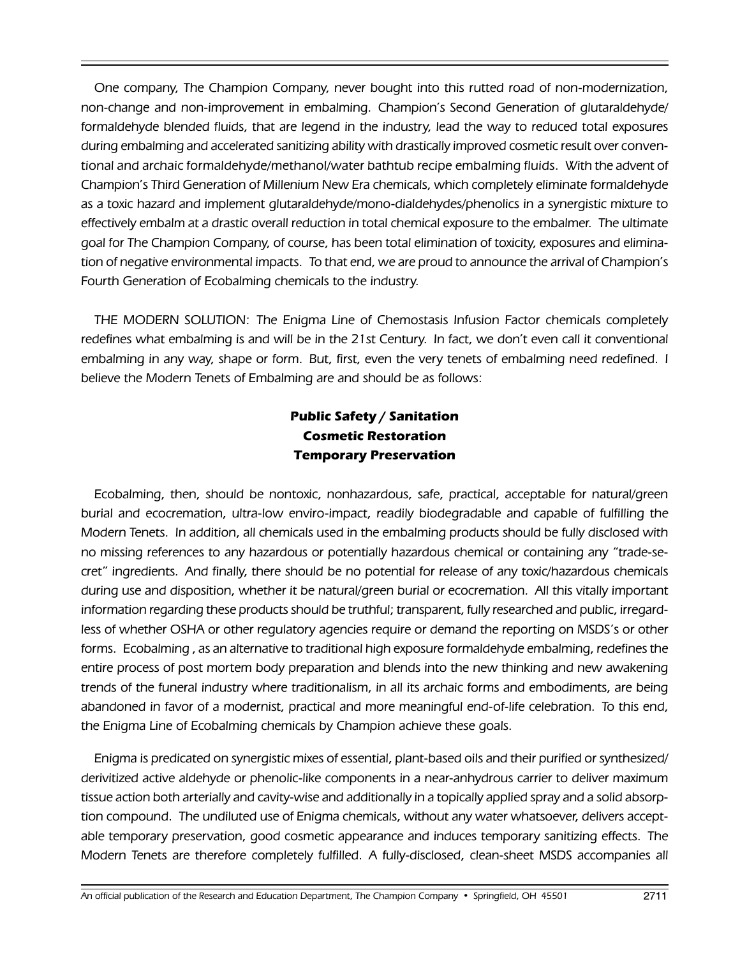One company, The Champion Company, never bought into this rutted road of non-modernization, non-change and non-improvement in embalming. Champion's Second Generation of glutaraldehyde/ formaldehyde blended fluids, that are legend in the industry, lead the way to reduced total exposures during embalming and accelerated sanitizing ability with drastically improved cosmetic result over conventional and archaic formaldehyde/methanol/water bathtub recipe embalming fluids. With the advent of Champion's Third Generation of Millenium New Era chemicals, which completely eliminate formaldehyde as a toxic hazard and implement glutaraldehyde/mono-dialdehydes/phenolics in a synergistic mixture to effectively embalm at a drastic overall reduction in total chemical exposure to the embalmer. The ultimate goal for The Champion Company, of course, has been total elimination of toxicity, exposures and elimination of negative environmental impacts. To that end, we are proud to announce the arrival of Champion's Fourth Generation of Ecobalming chemicals to the industry.

THE MODERN SOLUTION: The Enigma Line of Chemostasis Infusion Factor chemicals completely redefines what embalming is and will be in the 21st Century. In fact, we don't even call it conventional embalming in any way, shape or form. But, first, even the very tenets of embalming need redefined. I believe the Modern Tenets of Embalming are and should be as follows:

#### **Public Safety / Sanitation Cosmetic Restoration Temporary Preservation**

Ecobalming, then, should be nontoxic, nonhazardous, safe, practical, acceptable for natural/green burial and ecocremation, ultra-low enviro-impact, readily biodegradable and capable of fulfilling the Modern Tenets. In addition, all chemicals used in the embalming products should be fully disclosed with no missing references to any hazardous or potentially hazardous chemical or containing any "trade-secret" ingredients. And finally, there should be no potential for release of any toxic/hazardous chemicals during use and disposition, whether it be natural/green burial or ecocremation. All this vitally important information regarding these products should be truthful; transparent, fully researched and public, irregardless of whether OSHA or other regulatory agencies require or demand the reporting on MSDS's or other forms. Ecobalming , as an alternative to traditional high exposure formaldehyde embalming, redefines the entire process of post mortem body preparation and blends into the new thinking and new awakening trends of the funeral industry where traditionalism, in all its archaic forms and embodiments, are being abandoned in favor of a modernist, practical and more meaningful end-of-life celebration. To this end, the Enigma Line of Ecobalming chemicals by Champion achieve these goals.

Enigma is predicated on synergistic mixes of essential, plant-based oils and their purified or synthesized/ derivitized active aldehyde or phenolic-like components in a near-anhydrous carrier to deliver maximum tissue action both arterially and cavity-wise and additionally in a topically applied spray and a solid absorption compound. The undiluted use of Enigma chemicals, without any water whatsoever, delivers acceptable temporary preservation, good cosmetic appearance and induces temporary sanitizing effects. The Modern Tenets are therefore completely fulfilled. A fully-disclosed, clean-sheet MSDS accompanies all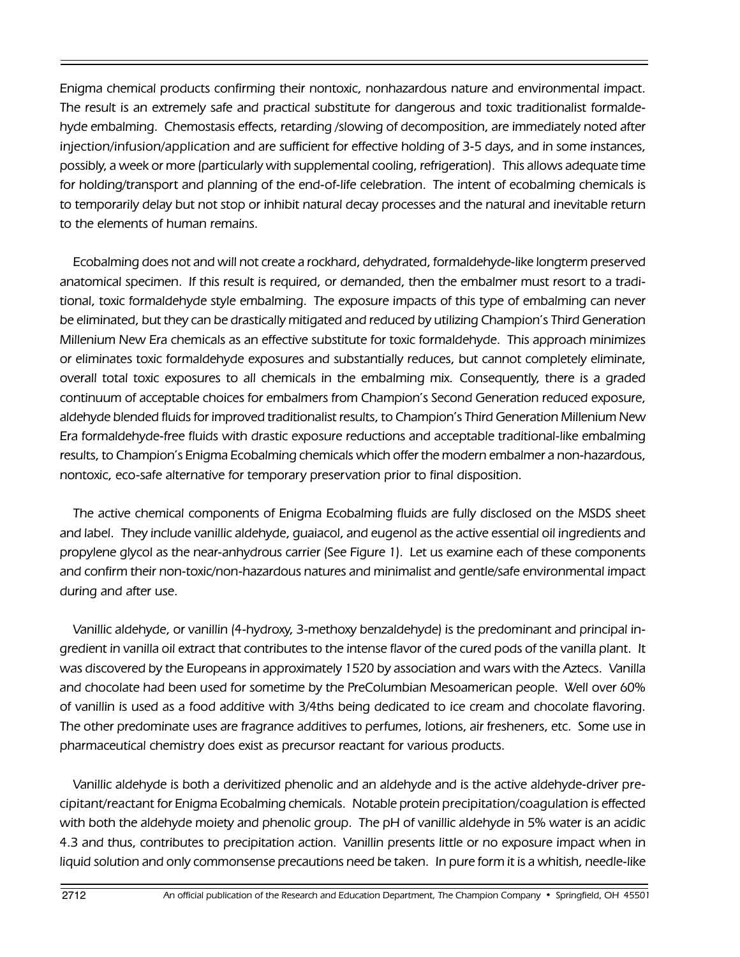Enigma chemical products confirming their nontoxic, nonhazardous nature and environmental impact. The result is an extremely safe and practical substitute for dangerous and toxic traditionalist formaldehyde embalming. Chemostasis effects, retarding /slowing of decomposition, are immediately noted after injection/infusion/application and are sufficient for effective holding of 3-5 days, and in some instances, possibly, a week or more (particularly with supplemental cooling, refrigeration). This allows adequate time for holding/transport and planning of the end-of-life celebration. The intent of ecobalming chemicals is to temporarily delay but not stop or inhibit natural decay processes and the natural and inevitable return to the elements of human remains.

Ecobalming does not and will not create a rockhard, dehydrated, formaldehyde-like longterm preserved anatomical specimen. If this result is required, or demanded, then the embalmer must resort to a traditional, toxic formaldehyde style embalming. The exposure impacts of this type of embalming can never be eliminated, but they can be drastically mitigated and reduced by utilizing Champion's Third Generation Millenium New Era chemicals as an effective substitute for toxic formaldehyde. This approach minimizes or eliminates toxic formaldehyde exposures and substantially reduces, but cannot completely eliminate, overall total toxic exposures to all chemicals in the embalming mix. Consequently, there is a graded continuum of acceptable choices for embalmers from Champion's Second Generation reduced exposure, aldehyde blended fluids for improved traditionalist results, to Champion's Third Generation Millenium New Era formaldehyde-free fluids with drastic exposure reductions and acceptable traditional-like embalming results, to Champion's Enigma Ecobalming chemicals which offer the modern embalmer a non-hazardous, nontoxic, eco-safe alternative for temporary preservation prior to final disposition.

The active chemical components of Enigma Ecobalming fluids are fully disclosed on the MSDS sheet and label. They include vanillic aldehyde, guaiacol, and eugenol as the active essential oil ingredients and propylene glycol as the near-anhydrous carrier (See Figure 1). Let us examine each of these components and confirm their non-toxic/non-hazardous natures and minimalist and gentle/safe environmental impact during and after use.

Vanillic aldehyde, or vanillin (4-hydroxy, 3-methoxy benzaldehyde) is the predominant and principal ingredient in vanilla oil extract that contributes to the intense flavor of the cured pods of the vanilla plant. It was discovered by the Europeans in approximately 1520 by association and wars with the Aztecs. Vanilla and chocolate had been used for sometime by the PreColumbian Mesoamerican people. Well over 60% of vanillin is used as a food additive with 3/4ths being dedicated to ice cream and chocolate flavoring. The other predominate uses are fragrance additives to perfumes, lotions, air fresheners, etc. Some use in pharmaceutical chemistry does exist as precursor reactant for various products.

Vanillic aldehyde is both a derivitized phenolic and an aldehyde and is the active aldehyde-driver precipitant/reactant for Enigma Ecobalming chemicals. Notable protein precipitation/coagulation is effected with both the aldehyde moiety and phenolic group. The pH of vanillic aldehyde in 5% water is an acidic 4.3 and thus, contributes to precipitation action. Vanillin presents little or no exposure impact when in liquid solution and only commonsense precautions need be taken. In pure form it is a whitish, needle-like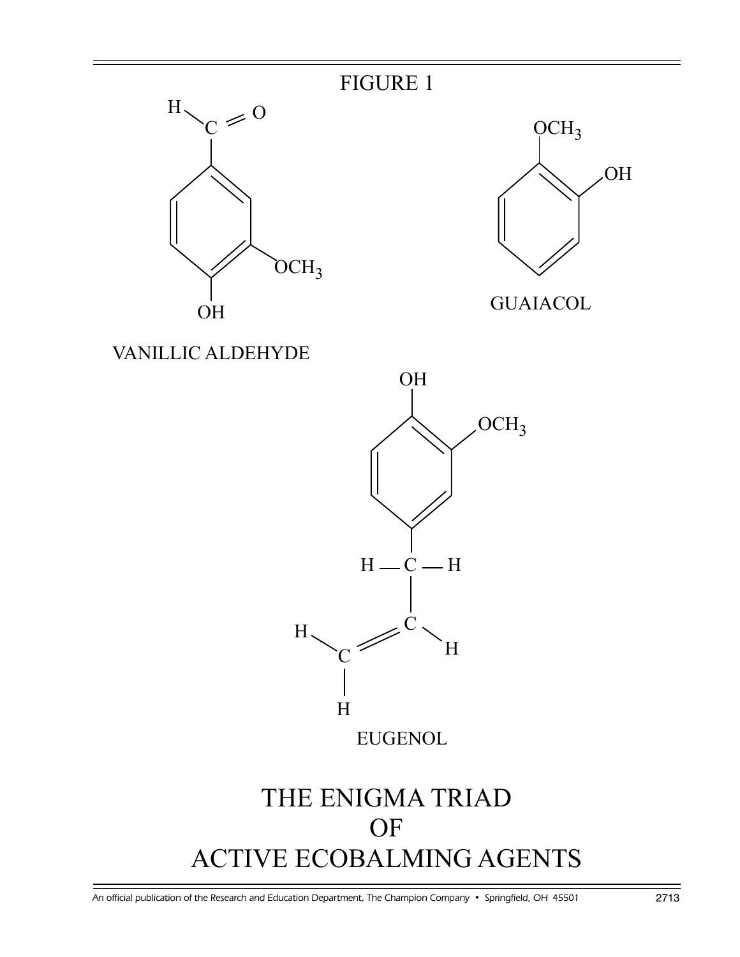



VANILLIC ALDEHYDE



FIGURE 1

## THE ENIGMA TRIAD **OF** ACTIVE ECOBALMING AGENTS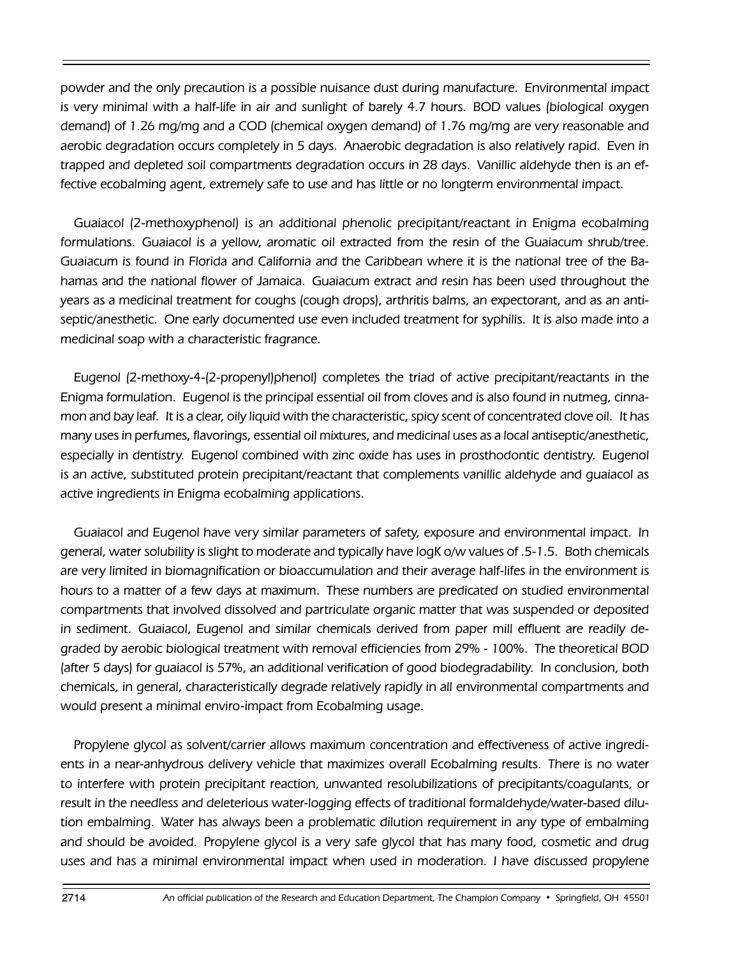powder and the only precaution is a possible nuisance dust during manufacture. Environmental impact is very minimal with a half-life in air and sunlight of barely 4.7 hours. BOD values (biological oxygen demand) of 1.26 mg/mg and a COD (chemical oxygen demand) of 1.76 mg/mg are very reasonable and aerobic degradation occurs completely in 5 days. Anaerobic degradation is also relatively rapid. Even in trapped and depleted soil compartments degradation occurs in 28 days. Vanillic aldehyde then is an effective ecobalming agent, extremely safe to use and has little or no longterm environmental impact.

Guaiacol (2-methoxyphenol) is an additional phenolic precipitant/reactant in Enigma ecobalming formulations. Guaiacol is a yellow, aromatic oil extracted from the resin of the Guaiacum shrub/tree. Guaiacum is found in Florida and California and the Caribbean where it is the national tree of the Bahamas and the national flower of Jamaica. Guaiacum extract and resin has been used throughout the years as a medicinal treatment for coughs (cough drops), arthritis balms, an expectorant, and as an antiseptic/anesthetic. One early documented use even included treatment for syphilis. It is also made into a medicinal soap with a characteristic fragrance.

Eugenol (2-methoxy-4-(2-propenyl)phenol) completes the triad of active precipitant/reactants in the Enigma formulation. Eugenol is the principal essential oil from cloves and is also found in nutmeg, cinnamon and bay leaf. It is a clear, oily liquid with the characteristic, spicy scent of concentrated clove oil. It has many uses in perfumes, flavorings, essential oil mixtures, and medicinal uses as a local antiseptic/anesthetic, especially in dentistry. Eugenol combined with zinc oxide has uses in prosthodontic dentistry. Eugenol is an active, substituted protein precipitant/reactant that complements vanillic aldehyde and guaiacol as active ingredients in Enigma ecobalming applications.

Guaiacol and Eugenol have very similar parameters of safety, exposure and environmental impact. In general, water solubility is slight to moderate and typically have logK o/w values of .5-1.5. Both chemicals are very limited in biomagnification or bioaccumulation and their average half-lifes in the environment is hours to a matter of a few days at maximum. These numbers are predicated on studied environmental compartments that involved dissolved and partriculate organic matter that was suspended or deposited in sediment. Guaiacol, Eugenol and similar chemicals derived from paper mill effluent are readily degraded by aerobic biological treatment with removal efficiencies from 29% - 100%. The theoretical BOD (after 5 days) for guaiacol is 57%, an additional verification of good biodegradability. In conclusion, both chemicals, in general, characteristically degrade relatively rapidly in all environmental compartments and would present a minimal enviro-impact from Ecobalming usage.

Propylene glycol as solvent/carrier allows maximum concentration and effectiveness of active ingredients in a near-anhydrous delivery vehicle that maximizes overall Ecobalming results. There is no water to interfere with protein precipitant reaction, unwanted resolubilizations of precipitants/coagulants, or result in the needless and deleterious water-logging effects of traditional formaldehyde/water-based dilution embalming. Water has always been a problematic dilution requirement in any type of embalming and should be avoided. Propylene glycol is a very safe glycol that has many food, cosmetic and drug uses and has a minimal environmental impact when used in moderation. I have discussed propylene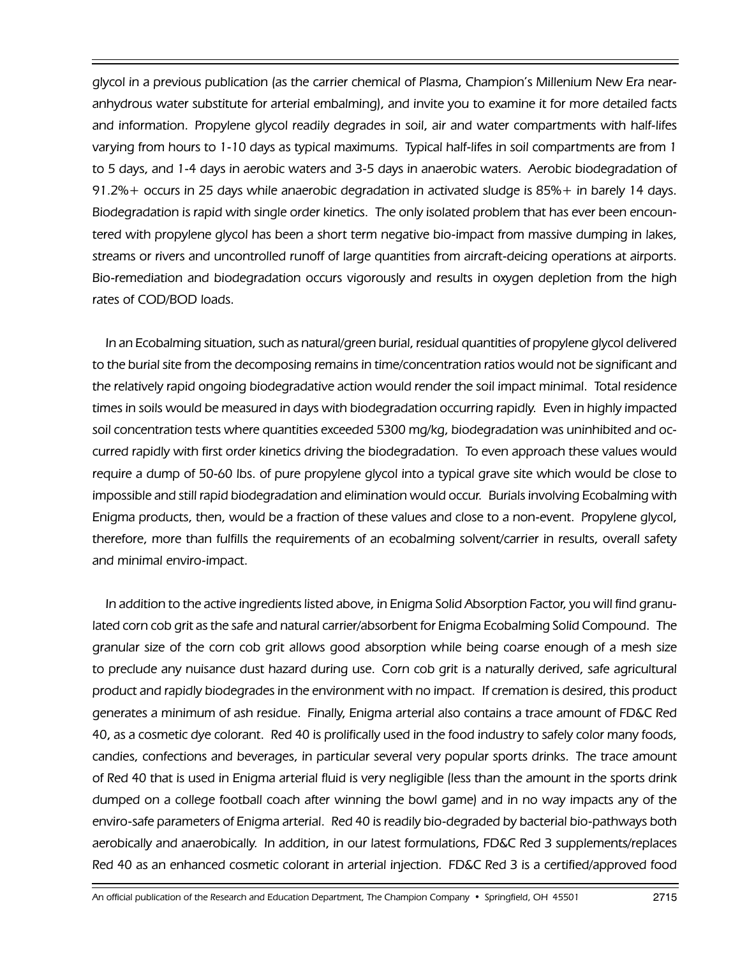glycol in a previous publication (as the carrier chemical of Plasma, Champion's Millenium New Era nearanhydrous water substitute for arterial embalming), and invite you to examine it for more detailed facts and information. Propylene glycol readily degrades in soil, air and water compartments with half-lifes varying from hours to 1-10 days as typical maximums. Typical half-lifes in soil compartments are from 1 to 5 days, and 1-4 days in aerobic waters and 3-5 days in anaerobic waters. Aerobic biodegradation of 91.2%+ occurs in 25 days while anaerobic degradation in activated sludge is 85%+ in barely 14 days. Biodegradation is rapid with single order kinetics. The only isolated problem that has ever been encountered with propylene glycol has been a short term negative bio-impact from massive dumping in lakes, streams or rivers and uncontrolled runoff of large quantities from aircraft-deicing operations at airports. Bio-remediation and biodegradation occurs vigorously and results in oxygen depletion from the high rates of COD/BOD loads.

In an Ecobalming situation, such as natural/green burial, residual quantities of propylene glycol delivered to the burial site from the decomposing remains in time/concentration ratios would not be significant and the relatively rapid ongoing biodegradative action would render the soil impact minimal. Total residence times in soils would be measured in days with biodegradation occurring rapidly. Even in highly impacted soil concentration tests where quantities exceeded 5300 mg/kg, biodegradation was uninhibited and occurred rapidly with first order kinetics driving the biodegradation. To even approach these values would require a dump of 50-60 lbs. of pure propylene glycol into a typical grave site which would be close to impossible and still rapid biodegradation and elimination would occur. Burials involving Ecobalming with Enigma products, then, would be a fraction of these values and close to a non-event. Propylene glycol, therefore, more than fulfills the requirements of an ecobalming solvent/carrier in results, overall safety and minimal enviro-impact.

In addition to the active ingredients listed above, in Enigma Solid Absorption Factor, you will find granulated corn cob grit as the safe and natural carrier/absorbent for Enigma Ecobalming Solid Compound. The granular size of the corn cob grit allows good absorption while being coarse enough of a mesh size to preclude any nuisance dust hazard during use. Corn cob grit is a naturally derived, safe agricultural product and rapidly biodegrades in the environment with no impact. If cremation is desired, this product generates a minimum of ash residue. Finally, Enigma arterial also contains a trace amount of FD&C Red 40, as a cosmetic dye colorant. Red 40 is prolifically used in the food industry to safely color many foods, candies, confections and beverages, in particular several very popular sports drinks. The trace amount of Red 40 that is used in Enigma arterial fluid is very negligible (less than the amount in the sports drink dumped on a college football coach after winning the bowl game) and in no way impacts any of the enviro-safe parameters of Enigma arterial. Red 40 is readily bio-degraded by bacterial bio-pathways both aerobically and anaerobically. In addition, in our latest formulations, FD&C Red 3 supplements/replaces Red 40 as an enhanced cosmetic colorant in arterial injection. FD&C Red 3 is a certified/approved food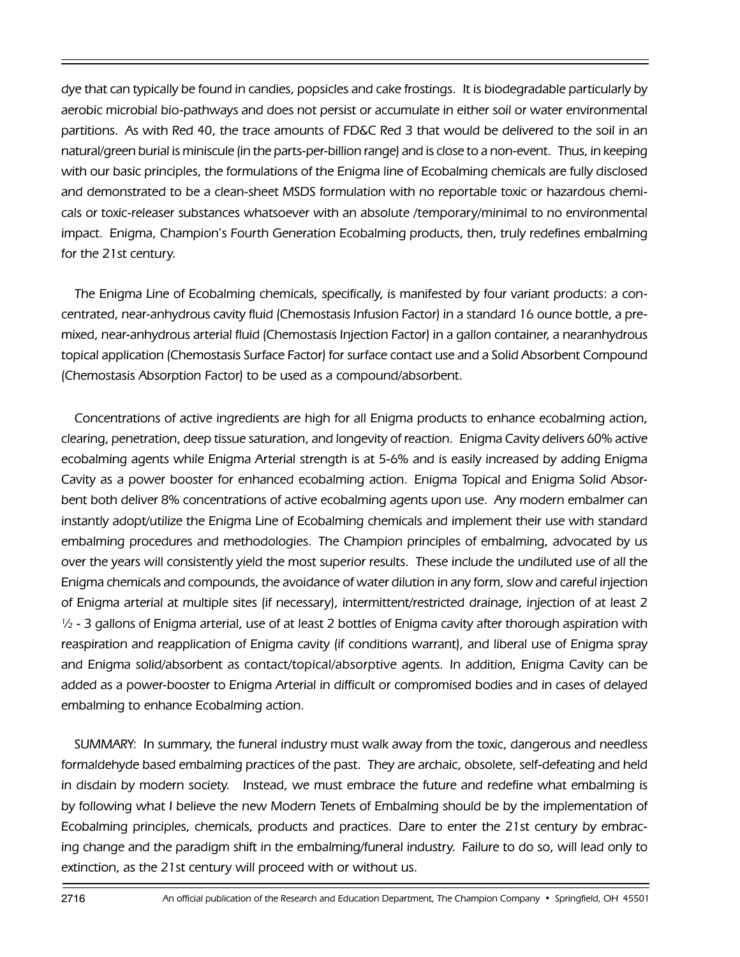dye that can typically be found in candies, popsicles and cake frostings. It is biodegradable particularly by aerobic microbial bio-pathways and does not persist or accumulate in either soil or water environmental partitions. As with Red 40, the trace amounts of FD&C Red 3 that would be delivered to the soil in an natural/green burial is miniscule (in the parts-per-billion range) and is close to a non-event. Thus, in keeping with our basic principles, the formulations of the Enigma line of Ecobalming chemicals are fully disclosed and demonstrated to be a clean-sheet MSDS formulation with no reportable toxic or hazardous chemicals or toxic-releaser substances whatsoever with an absolute /temporary/minimal to no environmental impact. Enigma, Champion's Fourth Generation Ecobalming products, then, truly redefines embalming for the 21st century.

The Enigma Line of Ecobalming chemicals, specifically, is manifested by four variant products: a concentrated, near-anhydrous cavity fluid (Chemostasis Infusion Factor) in a standard 16 ounce bottle, a premixed, near-anhydrous arterial fluid (Chemostasis Injection Factor) in a gallon container, a nearanhydrous topical application (Chemostasis Surface Factor) for surface contact use and a Solid Absorbent Compound (Chemostasis Absorption Factor) to be used as a compound/absorbent.

Concentrations of active ingredients are high for all Enigma products to enhance ecobalming action, clearing, penetration, deep tissue saturation, and longevity of reaction. Enigma Cavity delivers 60% active ecobalming agents while Enigma Arterial strength is at 5-6% and is easily increased by adding Enigma Cavity as a power booster for enhanced ecobalming action. Enigma Topical and Enigma Solid Absorbent both deliver 8% concentrations of active ecobalming agents upon use. Any modern embalmer can instantly adopt/utilize the Enigma Line of Ecobalming chemicals and implement their use with standard embalming procedures and methodologies. The Champion principles of embalming, advocated by us over the years will consistently yield the most superior results. These include the undiluted use of all the Enigma chemicals and compounds, the avoidance of water dilution in any form, slow and careful injection of Enigma arterial at multiple sites (if necessary), intermittent/restricted drainage, injection of at least 2 ½ - 3 gallons of Enigma arterial, use of at least 2 bottles of Enigma cavity after thorough aspiration with reaspiration and reapplication of Enigma cavity (if conditions warrant), and liberal use of Enigma spray and Enigma solid/absorbent as contact/topical/absorptive agents. In addition, Enigma Cavity can be added as a power-booster to Enigma Arterial in difficult or compromised bodies and in cases of delayed embalming to enhance Ecobalming action.

SUMMARY: In summary, the funeral industry must walk away from the toxic, dangerous and needless formaldehyde based embalming practices of the past. They are archaic, obsolete, self-defeating and held in disdain by modern society. Instead, we must embrace the future and redefine what embalming is by following what I believe the new Modern Tenets of Embalming should be by the implementation of Ecobalming principles, chemicals, products and practices. Dare to enter the 21st century by embracing change and the paradigm shift in the embalming/funeral industry. Failure to do so, will lead only to extinction, as the 21st century will proceed with or without us.